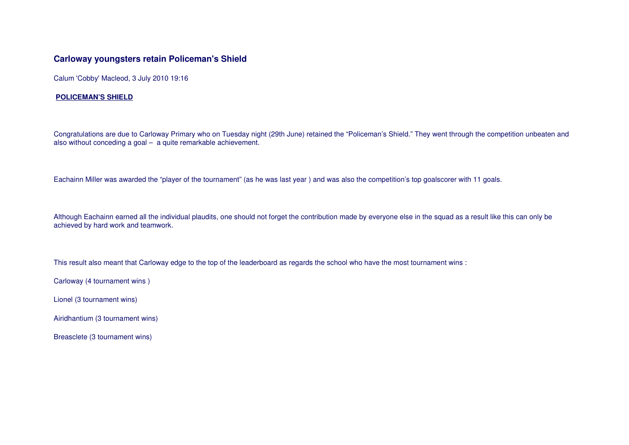# **Carloway youngsters retain Policeman's Shield**

Calum 'Cobby' Macleod, 3 July 2010 19:16

#### **POLICEMAN'S SHIELD**

Congratulations are due to Carloway Primary who on Tuesday night (29th June) retained the "Policeman's Shield." They went through the competition unbeaten and also without conceding a goal – a quite remarkable achievement.

Eachainn Miller was awarded the "player of the tournament" (as he was last year ) and was also the competition's top goalscorer with 11 goals.

Although Eachainn earned all the individual plaudits, one should not forget the contribution made by everyone else in the squad as a result like this can only be achieved by hard work and teamwork.

This result also meant that Carloway edge to the top of the leaderboard as regards the school who have the most tournament wins :

Carloway (4 tournament wins )

Lionel (3 tournament wins)

Airidhantium (3 tournament wins)

Breasclete (3 tournament wins)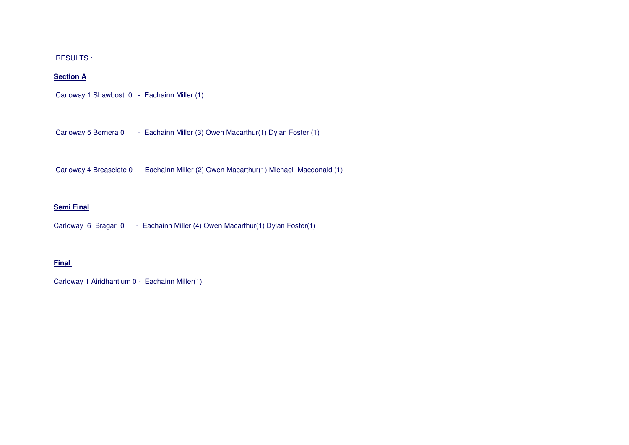## RESULTS :

### **Section A**

```
 Carloway 1 Shawbost 0 - Eachainn Miller (1)
```
Carloway 5 Bernera 0 - Eachainn Miller (3) Owen Macarthur(1) Dylan Foster (1)

Carloway 4 Breasclete 0 - Eachainn Miller (2) Owen Macarthur(1) Michael Macdonald (1)

# **Semi Final**

Carloway 6 Bragar 0 - Eachainn Miller (4) Owen Macarthur(1) Dylan Foster(1)

### **Final**

Carloway 1 Airidhantium 0 - Eachainn Miller(1)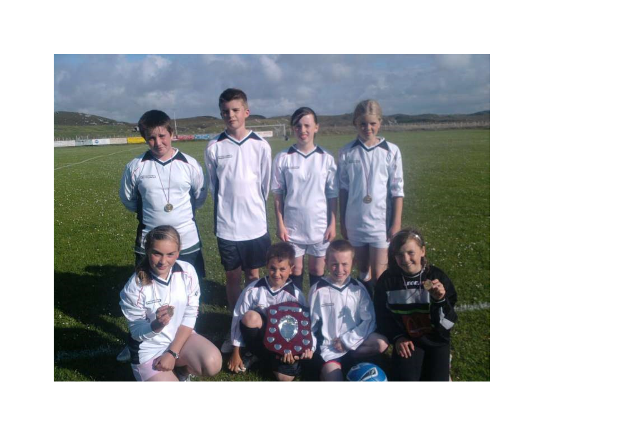